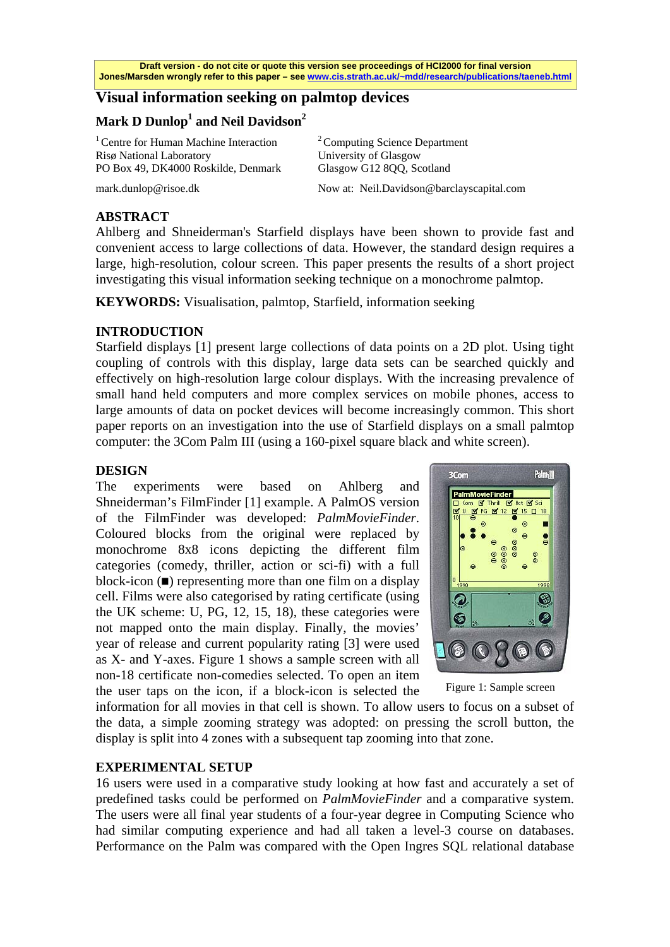**Draft version - do not cite or quote this version see proceedings of HCI2000 for final version Jones/Marsden wrongly refer to this paper – see [www.cis.strath.ac.uk/~mdd/research/publications/taeneb.html](http://www.cis.strath.ac.uk/~mdd/research/publications/taeneb.html)**

# **Visual information seeking on palmtop devices**

## **Mark D Dunlop<sup>1</sup> and Neil Davidson2**

<sup>1</sup> Centre for Human Machine Interaction Risø National Laboratory PO Box 49, DK4000 Roskilde, Denmark

mark.dunlop@risoe.dk

2 Computing Science Department University of Glasgow Glasgow G12 8QQ, Scotland

Now at: Neil.Davidson@barclayscapital.com

### **ABSTRACT**

Ahlberg and Shneiderman's Starfield displays have been shown to provide fast and convenient access to large collections of data. However, the standard design requires a large, high-resolution, colour screen. This paper presents the results of a short project investigating this visual information seeking technique on a monochrome palmtop.

**KEYWORDS:** Visualisation, palmtop, Starfield, information seeking

### **INTRODUCTION**

Starfield displays [1] present large collections of data points on a 2D plot. Using tight coupling of controls with this display, large data sets can be searched quickly and effectively on high-resolution large colour displays. With the increasing prevalence of small hand held computers and more complex services on mobile phones, access to large amounts of data on pocket devices will become increasingly common. This short paper reports on an investigation into the use of Starfield displays on a small palmtop computer: the 3Com Palm III (using a 160-pixel square black and white screen).

#### **DESIGN**

The experiments were based on Ahlberg and Shneiderman's FilmFinder [1] example. A PalmOS version of the FilmFinder was developed: *PalmMovieFinder*. Coloured blocks from the original were replaced by monochrome 8x8 icons depicting the different film categories (comedy, thriller, action or sci-fi) with a full block-icon  $(\blacksquare)$  representing more than one film on a display cell. Films were also categorised by rating certificate (using the UK scheme: U, PG, 12, 15, 18), these categories were not mapped onto the main display. Finally, the movies' year of release and current popularity rating [3] were used as X- and Y-axes. Figure 1 shows a sample screen with all non-18 certificate non-comedies selected. To open an item the user taps on the icon, if a block-icon is selected the



Figure 1: Sample screen

information for all movies in that cell is shown. To allow users to focus on a subset of the data, a simple zooming strategy was adopted: on pressing the scroll button, the display is split into 4 zones with a subsequent tap zooming into that zone.

#### **EXPERIMENTAL SETUP**

16 users were used in a comparative study looking at how fast and accurately a set of predefined tasks could be performed on *PalmMovieFinder* and a comparative system. The users were all final year students of a four-year degree in Computing Science who had similar computing experience and had all taken a level-3 course on databases. Performance on the Palm was compared with the Open Ingres SQL relational database